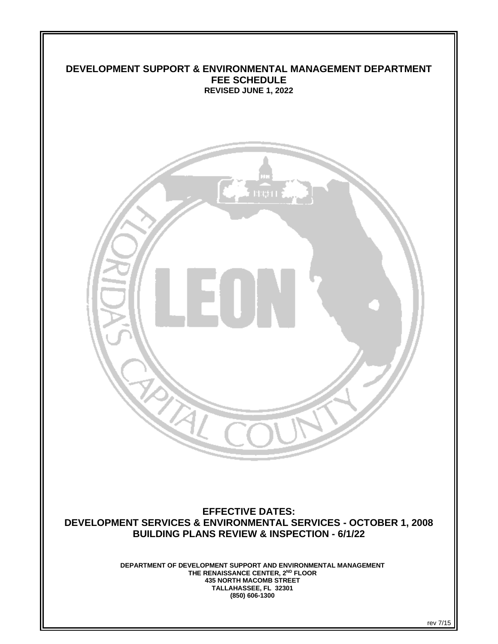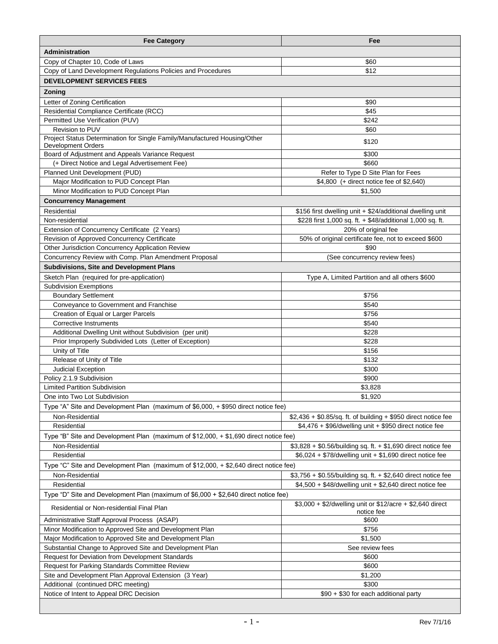| <b>Fee Category</b>                                                                                    | Fee                                                                     |  |
|--------------------------------------------------------------------------------------------------------|-------------------------------------------------------------------------|--|
| <b>Administration</b>                                                                                  |                                                                         |  |
| Copy of Chapter 10, Code of Laws                                                                       | \$60                                                                    |  |
| Copy of Land Development Regulations Policies and Procedures                                           | \$12                                                                    |  |
| <b>DEVELOPMENT SERVICES FEES</b>                                                                       |                                                                         |  |
| Zoning                                                                                                 |                                                                         |  |
| Letter of Zoning Certification                                                                         | \$90                                                                    |  |
| Residential Compliance Certificate (RCC)                                                               | \$45                                                                    |  |
| Permitted Use Verification (PUV)                                                                       | \$242                                                                   |  |
| Revision to PUV                                                                                        | \$60                                                                    |  |
| Project Status Determination for Single Family/Manufactured Housing/Other<br><b>Development Orders</b> | \$120                                                                   |  |
| Board of Adjustment and Appeals Variance Request                                                       | \$300                                                                   |  |
| (+ Direct Notice and Legal Advertisement Fee)                                                          | \$660                                                                   |  |
| Planned Unit Development (PUD)                                                                         | Refer to Type D Site Plan for Fees                                      |  |
| Major Modification to PUD Concept Plan                                                                 | \$4,800 (+ direct notice fee of \$2,640)                                |  |
| Minor Modification to PUD Concept Plan                                                                 | \$1,500                                                                 |  |
| <b>Concurrency Management</b>                                                                          |                                                                         |  |
| Residential                                                                                            | \$156 first dwelling unit + \$24/additional dwelling unit               |  |
| Non-residential                                                                                        | \$228 first 1,000 sq. ft. + \$48/additional 1,000 sq. ft.               |  |
| Extension of Concurrency Certificate (2 Years)                                                         | 20% of original fee                                                     |  |
| Revision of Approved Concurrency Certificate                                                           | 50% of original certificate fee, not to exceed \$600                    |  |
| Other Jurisdiction Concurrency Application Review                                                      | \$90                                                                    |  |
| Concurrency Review with Comp. Plan Amendment Proposal                                                  | (See concurrency review fees)                                           |  |
| <b>Subdivisions, Site and Development Plans</b>                                                        |                                                                         |  |
| Sketch Plan (required for pre-application)                                                             | Type A, Limited Partition and all others \$600                          |  |
| <b>Subdivision Exemptions</b>                                                                          |                                                                         |  |
| <b>Boundary Settlement</b>                                                                             | \$756                                                                   |  |
| Conveyance to Government and Franchise                                                                 | \$540                                                                   |  |
| Creation of Equal or Larger Parcels<br>Corrective Instruments                                          | \$756<br>\$540                                                          |  |
| Additional Dwelling Unit without Subdivision (per unit)                                                | \$228                                                                   |  |
| Prior Improperly Subdivided Lots (Letter of Exception)                                                 | \$228                                                                   |  |
| Unity of Title                                                                                         | \$156                                                                   |  |
| Release of Unity of Title                                                                              | \$132                                                                   |  |
| Judicial Exception                                                                                     | \$300                                                                   |  |
| Policy 2.1.9 Subdivision                                                                               | \$900                                                                   |  |
| <b>Limited Partition Subdivision</b>                                                                   | \$3,828                                                                 |  |
| One into Two Lot Subdivision                                                                           | \$1,920                                                                 |  |
| Type "A" Site and Development Plan (maximum of \$6,000, + \$950 direct notice fee)                     |                                                                         |  |
| Non-Residential                                                                                        | $$2,436 + $0.85$ /sq. ft. of building + \$950 direct notice fee         |  |
| Residential                                                                                            | \$4,476 + \$96/dwelling unit + \$950 direct notice fee                  |  |
| Type "B" Site and Development Plan (maximum of \$12,000, + \$1,690 direct notice fee)                  |                                                                         |  |
| Non-Residential                                                                                        | \$3,828 + \$0.56/building sq. ft. + \$1,690 direct notice fee           |  |
| Residential                                                                                            | \$6,024 + \$78/dwelling unit + \$1,690 direct notice fee                |  |
| Type "C" Site and Development Plan (maximum of \$12,000, + \$2,640 direct notice fee)                  |                                                                         |  |
| Non-Residential                                                                                        | \$3,756 + \$0.55/building sq. ft. + \$2,640 direct notice fee           |  |
| Residential                                                                                            | \$4,500 + \$48/dwelling unit + \$2,640 direct notice fee                |  |
| Type "D" Site and Development Plan (maximum of \$6,000 + \$2,640 direct notice fee)                    |                                                                         |  |
| Residential or Non-residential Final Plan                                                              | \$3,000 + \$2/dwelling unit or \$12/acre + \$2,640 direct<br>notice fee |  |
| Administrative Staff Approval Process (ASAP)                                                           | \$600                                                                   |  |
| Minor Modification to Approved Site and Development Plan                                               | \$756                                                                   |  |
| Major Modification to Approved Site and Development Plan                                               | \$1,500                                                                 |  |
| Substantial Change to Approved Site and Development Plan                                               | See review fees                                                         |  |
| Request for Deviation from Development Standards                                                       | \$600                                                                   |  |
| Request for Parking Standards Committee Review                                                         | \$600                                                                   |  |
| Site and Development Plan Approval Extension (3 Year)                                                  | \$1,200                                                                 |  |
| Additional (continued DRC meeting)                                                                     | \$300                                                                   |  |
| Notice of Intent to Appeal DRC Decision                                                                | \$90 + \$30 for each additional party                                   |  |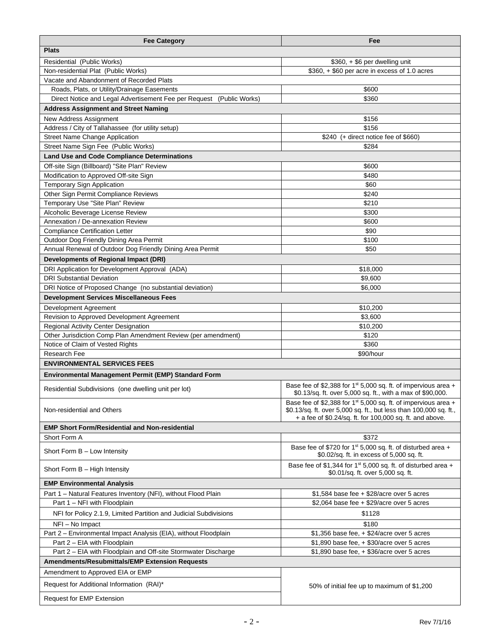| <b>Fee Category</b>                                                                          | Fee                                                                                                                                                                                                         |  |
|----------------------------------------------------------------------------------------------|-------------------------------------------------------------------------------------------------------------------------------------------------------------------------------------------------------------|--|
| <b>Plats</b>                                                                                 |                                                                                                                                                                                                             |  |
| Residential (Public Works)                                                                   | \$360, + \$6 per dwelling unit                                                                                                                                                                              |  |
| Non-residential Plat (Public Works)                                                          | $$360, + $60$ per acre in excess of 1.0 acres                                                                                                                                                               |  |
| Vacate and Abandonment of Recorded Plats                                                     |                                                                                                                                                                                                             |  |
| Roads, Plats, or Utility/Drainage Easements                                                  | \$600                                                                                                                                                                                                       |  |
| Direct Notice and Legal Advertisement Fee per Request (Public Works)                         | \$360                                                                                                                                                                                                       |  |
| <b>Address Assignment and Street Naming</b>                                                  |                                                                                                                                                                                                             |  |
| <b>New Address Assignment</b>                                                                | \$156                                                                                                                                                                                                       |  |
| Address / City of Tallahassee (for utility setup)                                            | \$156                                                                                                                                                                                                       |  |
| <b>Street Name Change Application</b>                                                        | \$240 (+ direct notice fee of \$660)                                                                                                                                                                        |  |
| Street Name Sign Fee (Public Works)                                                          | \$284                                                                                                                                                                                                       |  |
| <b>Land Use and Code Compliance Determinations</b>                                           |                                                                                                                                                                                                             |  |
| Off-site Sign (Billboard) "Site Plan" Review                                                 | \$600                                                                                                                                                                                                       |  |
| Modification to Approved Off-site Sign                                                       | \$480                                                                                                                                                                                                       |  |
| <b>Temporary Sign Application</b>                                                            | \$60                                                                                                                                                                                                        |  |
| Other Sign Permit Compliance Reviews                                                         | \$240                                                                                                                                                                                                       |  |
| Temporary Use "Site Plan" Review                                                             | \$210                                                                                                                                                                                                       |  |
| Alcoholic Beverage License Review                                                            | \$300                                                                                                                                                                                                       |  |
| Annexation / De-annexation Review                                                            | \$600                                                                                                                                                                                                       |  |
| <b>Compliance Certification Letter</b>                                                       | \$90                                                                                                                                                                                                        |  |
| Outdoor Dog Friendly Dining Area Permit                                                      | \$100                                                                                                                                                                                                       |  |
| Annual Renewal of Outdoor Dog Friendly Dining Area Permit                                    | \$50                                                                                                                                                                                                        |  |
| <b>Developments of Regional Impact (DRI)</b>                                                 |                                                                                                                                                                                                             |  |
| DRI Application for Development Approval (ADA)                                               | \$18,000                                                                                                                                                                                                    |  |
| <b>DRI Substantial Deviation</b><br>DRI Notice of Proposed Change (no substantial deviation) | \$9,600<br>\$6,000                                                                                                                                                                                          |  |
|                                                                                              |                                                                                                                                                                                                             |  |
| <b>Development Services Miscellaneous Fees</b>                                               |                                                                                                                                                                                                             |  |
| Development Agreement<br>Revision to Approved Development Agreement                          | \$10,200<br>\$3,600                                                                                                                                                                                         |  |
| Regional Activity Center Designation                                                         | \$10,200                                                                                                                                                                                                    |  |
| Other Jurisdiction Comp Plan Amendment Review (per amendment)                                | \$120                                                                                                                                                                                                       |  |
| Notice of Claim of Vested Rights                                                             | \$360                                                                                                                                                                                                       |  |
| <b>Research Fee</b>                                                                          | \$90/hour                                                                                                                                                                                                   |  |
| <b>ENVIRONMENTAL SERVICES FEES</b>                                                           |                                                                                                                                                                                                             |  |
| Environmental Management Permit (EMP) Standard Form                                          |                                                                                                                                                                                                             |  |
|                                                                                              | Base fee of \$2,388 for $1^{st}$ 5,000 sq. ft. of impervious area +                                                                                                                                         |  |
| Residential Subdivisions (one dwelling unit per lot)                                         | \$0.13/sq. ft. over 5,000 sq. ft., with a max of \$90,000.                                                                                                                                                  |  |
| Non-residential and Others                                                                   | Base fee of \$2,388 for 1 <sup>st</sup> 5,000 sq. ft. of impervious area +<br>\$0.13/sq. ft. over 5,000 sq. ft., but less than 100,000 sq. ft.,<br>+ a fee of \$0.24/sq. ft. for 100,000 sq. ft. and above. |  |
| <b>EMP Short Form/Residential and Non-residential</b>                                        |                                                                                                                                                                                                             |  |
| Short Form A                                                                                 | \$372                                                                                                                                                                                                       |  |
| Short Form $B - Low$ Intensity                                                               | Base fee of \$720 for 1 <sup>st</sup> 5,000 sq. ft. of disturbed area +<br>\$0.02/sq. ft. in excess of 5,000 sq. ft.                                                                                        |  |
| Short Form B - High Intensity                                                                | Base fee of \$1,344 for 1st 5,000 sq. ft. of disturbed area +<br>\$0.01/sq. ft. over 5,000 sq. ft.                                                                                                          |  |
| <b>EMP Environmental Analysis</b>                                                            |                                                                                                                                                                                                             |  |
| Part 1 - Natural Features Inventory (NFI), without Flood Plain                               | \$1,584 base fee + \$28/acre over 5 acres                                                                                                                                                                   |  |
| Part 1 - NFI with Floodplain                                                                 | \$2,064 base fee $+$ \$29/acre over 5 acres                                                                                                                                                                 |  |
| NFI for Policy 2.1.9, Limited Partition and Judicial Subdivisions                            | \$1128                                                                                                                                                                                                      |  |
| NFI - No Impact                                                                              | \$180                                                                                                                                                                                                       |  |
| Part 2 - Environmental Impact Analysis (EIA), without Floodplain                             | $$1,356$ base fee, + $$24/acre$ over 5 acres                                                                                                                                                                |  |
| Part 2 - EIA with Floodplain                                                                 | \$1,890 base fee, + \$30/acre over 5 acres                                                                                                                                                                  |  |
| Part 2 - EIA with Floodplain and Off-site Stormwater Discharge                               | \$1,890 base fee, + \$36/acre over 5 acres                                                                                                                                                                  |  |
| <b>Amendments/Resubmittals/EMP Extension Requests</b>                                        |                                                                                                                                                                                                             |  |
| Amendment to Approved EIA or EMP                                                             |                                                                                                                                                                                                             |  |
|                                                                                              | 50% of initial fee up to maximum of \$1,200                                                                                                                                                                 |  |
| Request for Additional Information (RAI)*                                                    |                                                                                                                                                                                                             |  |
| Request for EMP Extension                                                                    |                                                                                                                                                                                                             |  |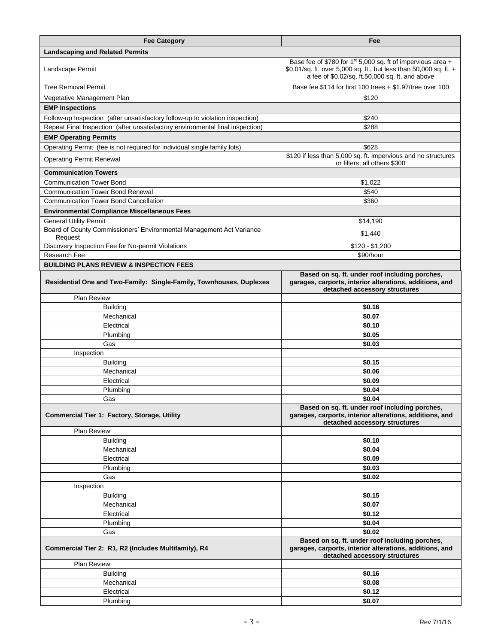| <b>Fee Category</b>                                                             | Fee                                                                                                                                                                                             |
|---------------------------------------------------------------------------------|-------------------------------------------------------------------------------------------------------------------------------------------------------------------------------------------------|
| <b>Landscaping and Related Permits</b>                                          |                                                                                                                                                                                                 |
| Landscape Permit                                                                | Base fee of \$780 for 1 <sup>st</sup> 5,000 sq. ft of impervious area +<br>\$0.01/sq. ft. over 5,000 sq. ft., but less than 50,000 sq. ft. +<br>a fee of \$0.02/sq. ft.50,000 sq. ft. and above |
| <b>Tree Removal Permit</b>                                                      | Base fee \$114 for first 100 trees + \$1.97/tree over 100                                                                                                                                       |
| Vegetative Management Plan                                                      | \$120                                                                                                                                                                                           |
| <b>EMP Inspections</b>                                                          |                                                                                                                                                                                                 |
| Follow-up Inspection (after unsatisfactory follow-up to violation inspection)   | \$240                                                                                                                                                                                           |
| Repeat Final Inspection (after unsatisfactory environmental final inspection)   | \$288                                                                                                                                                                                           |
| <b>EMP Operating Permits</b>                                                    |                                                                                                                                                                                                 |
| Operating Permit (fee is not required for individual single family lots)        | \$628                                                                                                                                                                                           |
| <b>Operating Permit Renewal</b>                                                 | \$120 if less than 5,000 sq. ft. impervious and no structures<br>or filters; all others \$300                                                                                                   |
| <b>Communication Towers</b>                                                     |                                                                                                                                                                                                 |
| <b>Communication Tower Bond</b>                                                 | \$1,022                                                                                                                                                                                         |
| <b>Communication Tower Bond Renewal</b>                                         | \$540                                                                                                                                                                                           |
| <b>Communication Tower Bond Cancellation</b>                                    | \$360                                                                                                                                                                                           |
| <b>Environmental Compliance Miscellaneous Fees</b>                              |                                                                                                                                                                                                 |
| <b>General Utility Permit</b>                                                   | \$14,190                                                                                                                                                                                        |
| Board of County Commissioners' Environmental Management Act Variance<br>Request | \$1,440                                                                                                                                                                                         |
| Discovery Inspection Fee for No-permit Violations                               | $$120 - $1,200$                                                                                                                                                                                 |
| <b>Research Fee</b>                                                             | \$90/hour                                                                                                                                                                                       |
| <b>BUILDING PLANS REVIEW &amp; INSPECTION FEES</b>                              |                                                                                                                                                                                                 |
| Residential One and Two-Family: Single-Family, Townhouses, Duplexes             | Based on sq. ft. under roof including porches,<br>garages, carports, interior alterations, additions, and<br>detached accessory structures                                                      |
| Plan Review                                                                     |                                                                                                                                                                                                 |
| <b>Building</b>                                                                 | \$0.16                                                                                                                                                                                          |
| Mechanical                                                                      | \$0.07                                                                                                                                                                                          |
| Electrical<br>Plumbing                                                          | \$0.10<br>\$0.05                                                                                                                                                                                |
| Gas                                                                             | \$0.03                                                                                                                                                                                          |
| Inspection                                                                      |                                                                                                                                                                                                 |
| <b>Building</b>                                                                 | \$0.15                                                                                                                                                                                          |
| Mechanical                                                                      | \$0.06                                                                                                                                                                                          |
| Electrical                                                                      | \$0.09                                                                                                                                                                                          |
| Plumbing                                                                        | \$0.04                                                                                                                                                                                          |
| Gas                                                                             | \$0.04                                                                                                                                                                                          |
| Commercial Tier 1: Factory, Storage, Utility                                    | Based on sq. ft. under roof including porches,<br>garages, carports, interior alterations, additions, and<br>detached accessory structures                                                      |
| <b>Plan Review</b>                                                              |                                                                                                                                                                                                 |
| <b>Building</b>                                                                 | \$0.10                                                                                                                                                                                          |
| Mechanical                                                                      | \$0.04                                                                                                                                                                                          |
| Electrical                                                                      | \$0.09                                                                                                                                                                                          |
| Plumbing                                                                        | \$0.03                                                                                                                                                                                          |
| Gas                                                                             | \$0.02                                                                                                                                                                                          |
| Inspection<br><b>Building</b>                                                   | \$0.15                                                                                                                                                                                          |
| Mechanical                                                                      | \$0.07                                                                                                                                                                                          |
| Electrical                                                                      | \$0.12                                                                                                                                                                                          |
| Plumbing                                                                        | \$0.04                                                                                                                                                                                          |
| Gas                                                                             | \$0.02                                                                                                                                                                                          |
| Commercial Tier 2: R1, R2 (Includes Multifamily), R4                            | Based on sq. ft. under roof including porches,<br>garages, carports, interior alterations, additions, and<br>detached accessory structures                                                      |
| Plan Review                                                                     |                                                                                                                                                                                                 |
| <b>Building</b>                                                                 | \$0.16                                                                                                                                                                                          |
| Mechanical                                                                      | \$0.08                                                                                                                                                                                          |
| Electrical<br>Plumbing                                                          | \$0.12<br>\$0.07                                                                                                                                                                                |
|                                                                                 |                                                                                                                                                                                                 |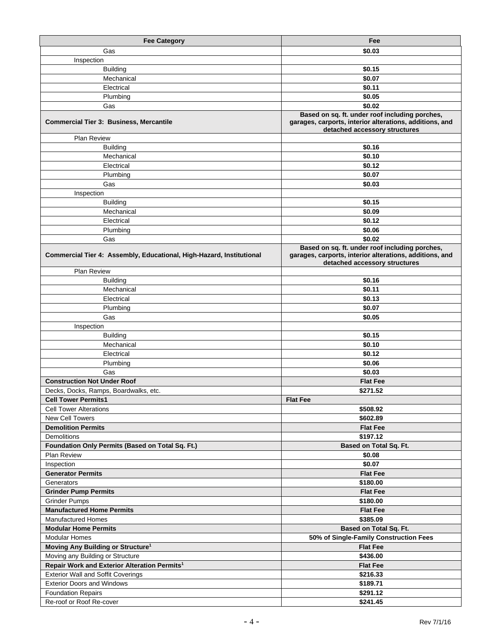| <b>Fee Category</b>                                                  | Fee                                                                                                                                        |
|----------------------------------------------------------------------|--------------------------------------------------------------------------------------------------------------------------------------------|
| Gas                                                                  | \$0.03                                                                                                                                     |
| Inspection                                                           |                                                                                                                                            |
| <b>Building</b>                                                      | \$0.15                                                                                                                                     |
| Mechanical                                                           | \$0.07                                                                                                                                     |
| Electrical                                                           | \$0.11                                                                                                                                     |
|                                                                      | \$0.05                                                                                                                                     |
| Plumbing                                                             |                                                                                                                                            |
| Gas                                                                  | \$0.02<br>Based on sq. ft. under roof including porches,                                                                                   |
| <b>Commercial Tier 3: Business, Mercantile</b>                       | garages, carports, interior alterations, additions, and<br>detached accessory structures                                                   |
| <b>Plan Review</b>                                                   |                                                                                                                                            |
| <b>Building</b>                                                      | \$0.16                                                                                                                                     |
| Mechanical                                                           | \$0.10                                                                                                                                     |
| Electrical                                                           | \$0.12                                                                                                                                     |
| Plumbing                                                             | \$0.07                                                                                                                                     |
| Gas                                                                  | \$0.03                                                                                                                                     |
| Inspection                                                           |                                                                                                                                            |
| <b>Building</b>                                                      | \$0.15                                                                                                                                     |
| Mechanical                                                           | \$0.09                                                                                                                                     |
| Electrical                                                           | \$0.12                                                                                                                                     |
| Plumbing                                                             | \$0.06                                                                                                                                     |
| Gas                                                                  | \$0.02                                                                                                                                     |
| Commercial Tier 4: Assembly, Educational, High-Hazard, Institutional | Based on sq. ft. under roof including porches,<br>garages, carports, interior alterations, additions, and<br>detached accessory structures |
| Plan Review                                                          |                                                                                                                                            |
| <b>Building</b>                                                      | \$0.16                                                                                                                                     |
| Mechanical                                                           | \$0.11                                                                                                                                     |
| Electrical                                                           | \$0.13                                                                                                                                     |
| Plumbing                                                             | \$0.07                                                                                                                                     |
| Gas                                                                  | \$0.05                                                                                                                                     |
| Inspection                                                           |                                                                                                                                            |
| <b>Building</b>                                                      | \$0.15                                                                                                                                     |
| Mechanical                                                           | \$0.10                                                                                                                                     |
| Electrical                                                           | \$0.12                                                                                                                                     |
| Plumbing                                                             | \$0.06                                                                                                                                     |
| Gas                                                                  | \$0.03                                                                                                                                     |
| <b>Construction Not Under Roof</b>                                   | <b>Flat Fee</b>                                                                                                                            |
| Decks, Docks, Ramps, Boardwalks, etc.                                | \$271.52                                                                                                                                   |
| <b>Cell Tower Permits1</b>                                           | <b>Flat Fee</b>                                                                                                                            |
| <b>Cell Tower Alterations</b>                                        | \$508.92                                                                                                                                   |
| New Cell Towers                                                      | \$602.89                                                                                                                                   |
| <b>Demolition Permits</b>                                            | <b>Flat Fee</b>                                                                                                                            |
| <b>Demolitions</b>                                                   | \$197.12                                                                                                                                   |
| Foundation Only Permits (Based on Total Sq. Ft.)                     | Based on Total Sq. Ft.                                                                                                                     |
| <b>Plan Review</b>                                                   | \$0.08                                                                                                                                     |
| Inspection                                                           | \$0.07                                                                                                                                     |
| <b>Generator Permits</b>                                             | <b>Flat Fee</b>                                                                                                                            |
| Generators                                                           | \$180.00                                                                                                                                   |
| <b>Grinder Pump Permits</b>                                          | <b>Flat Fee</b>                                                                                                                            |
| <b>Grinder Pumps</b>                                                 | \$180.00                                                                                                                                   |
| <b>Manufactured Home Permits</b>                                     | <b>Flat Fee</b>                                                                                                                            |
| <b>Manufactured Homes</b>                                            | \$385.09                                                                                                                                   |
| <b>Modular Home Permits</b>                                          | Based on Total Sq. Ft.                                                                                                                     |
| Modular Homes                                                        | 50% of Single-Family Construction Fees                                                                                                     |
| Moving Any Building or Structure <sup>1</sup>                        | <b>Flat Fee</b>                                                                                                                            |
| Moving any Building or Structure                                     | \$436.00                                                                                                                                   |
| Repair Work and Exterior Alteration Permits <sup>1</sup>             | <b>Flat Fee</b>                                                                                                                            |
| <b>Exterior Wall and Soffit Coverings</b>                            | \$216.33                                                                                                                                   |
| <b>Exterior Doors and Windows</b>                                    | \$189.71                                                                                                                                   |
| <b>Foundation Repairs</b>                                            | \$291.12                                                                                                                                   |
| Re-roof or Roof Re-cover                                             | \$241.45                                                                                                                                   |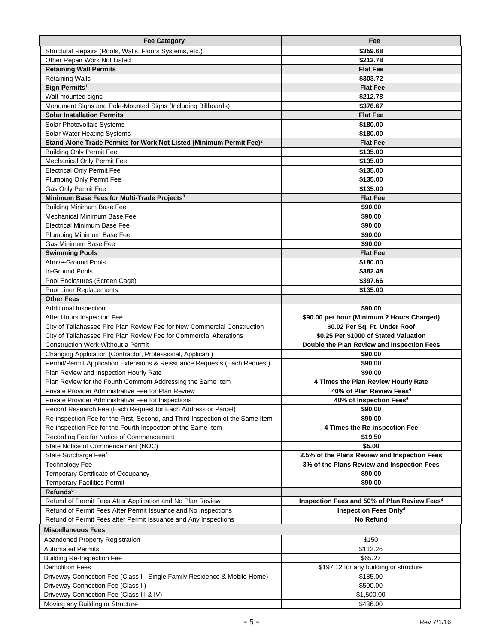| <b>Fee Category</b>                                                             | Fee                                                      |
|---------------------------------------------------------------------------------|----------------------------------------------------------|
| Structural Repairs (Roofs, Walls, Floors Systems, etc.)                         | \$359.68                                                 |
| Other Repair Work Not Listed                                                    | \$212.78                                                 |
| <b>Retaining Wall Permits</b>                                                   | <b>Flat Fee</b>                                          |
| <b>Retaining Walls</b>                                                          | \$303.72                                                 |
| Sign Permits <sup>1</sup>                                                       | <b>Flat Fee</b>                                          |
| Wall-mounted signs                                                              | \$212.78                                                 |
| Monument Signs and Pole-Mounted Signs (Including Billboards)                    | \$376.67                                                 |
| <b>Solar Installation Permits</b>                                               | <b>Flat Fee</b>                                          |
| Solar Photovoltaic Systems                                                      | \$180.00                                                 |
| Solar Water Heating Systems                                                     | \$180.00                                                 |
| Stand Alone Trade Permits for Work Not Listed (Minimum Permit Fee) <sup>2</sup> | <b>Flat Fee</b>                                          |
| <b>Building Only Permit Fee</b>                                                 | \$135.00                                                 |
| Mechanical Only Permit Fee                                                      | \$135.00                                                 |
| <b>Electrical Only Permit Fee</b>                                               | \$135.00                                                 |
| Plumbing Only Permit Fee                                                        | \$135.00                                                 |
| Gas Only Permit Fee                                                             | \$135.00                                                 |
| Minimum Base Fees for Multi-Trade Projects <sup>3</sup>                         | <b>Flat Fee</b>                                          |
| <b>Building Minimum Base Fee</b>                                                | \$90.00                                                  |
| Mechanical Minimum Base Fee                                                     | \$90.00                                                  |
| <b>Electrical Minimum Base Fee</b>                                              | \$90.00                                                  |
| Plumbing Minimum Base Fee                                                       | \$90.00                                                  |
| Gas Minimum Base Fee                                                            | \$90.00                                                  |
| <b>Swimming Pools</b>                                                           | <b>Flat Fee</b>                                          |
| Above-Ground Pools                                                              | \$180.00                                                 |
| In-Ground Pools                                                                 | \$382.48                                                 |
| Pool Enclosures (Screen Cage)                                                   | \$397.66                                                 |
| Pool Liner Replacements                                                         | \$135.00                                                 |
| <b>Other Fees</b>                                                               |                                                          |
| Additional Inspection                                                           | \$90.00                                                  |
| After Hours Inspection Fee                                                      | \$90.00 per hour (Minimum 2 Hours Charged)               |
| City of Tallahassee Fire Plan Review Fee for New Commercial Construction        | \$0.02 Per Sq. Ft. Under Roof                            |
| City of Tallahassee Fire Plan Review Fee for Commercial Alterations             | \$0.25 Per \$1000 of Stated Valuation                    |
| <b>Construction Work Without a Permit</b>                                       | Double the Plan Review and Inspection Fees               |
| Changing Application (Contractor, Professional, Applicant)                      | \$90.00                                                  |
| Permit/Permit Application Extensions & Reissuance Requests (Each Request)       | \$90.00                                                  |
| Plan Review and Inspection Hourly Rate                                          | \$90.00                                                  |
|                                                                                 |                                                          |
| Plan Review for the Fourth Comment Addressing the Same Item                     | 4 Times the Plan Review Hourly Rate                      |
| Private Provider Administrative Fee for Plan Review                             | 40% of Plan Review Fees <sup>4</sup>                     |
| Private Provider Administrative Fee for Inspections                             | 40% of Inspection Fees <sup>4</sup>                      |
| Record Research Fee (Each Request for Each Address or Parcel)                   | \$90.00                                                  |
| Re-inspection Fee for the First, Second, and Third Inspection of the Same Item  | \$90.00                                                  |
| Re-inspection Fee for the Fourth Inspection of the Same Item                    | 4 Times the Re-inspection Fee                            |
| Recording Fee for Notice of Commencement                                        | \$19.50                                                  |
| State Notice of Commencement (NOC)                                              | \$5.00                                                   |
| State Surcharge Fee <sup>5</sup>                                                | 2.5% of the Plans Review and Inspection Fees             |
| <b>Technology Fee</b>                                                           | 3% of the Plans Review and Inspection Fees               |
| Temporary Certificate of Occupancy                                              | \$90.00                                                  |
| <b>Temporary Facilities Permit</b>                                              | \$90.00                                                  |
| Refunds <sup>6</sup>                                                            |                                                          |
| Refund of Permit Fees After Application and No Plan Review                      | Inspection Fees and 50% of Plan Review Fees <sup>4</sup> |
| Refund of Permit Fees After Permit Issuance and No Inspections                  | <b>Inspection Fees Only4</b>                             |
| Refund of Permit Fees after Permit Issuance and Any Inspections                 | <b>No Refund</b>                                         |
| Miscellaneous Fees                                                              |                                                          |
| <b>Abandoned Property Registration</b>                                          | \$150                                                    |
| <b>Automated Permits</b>                                                        | \$112.26                                                 |
| <b>Building Re-Inspection Fee</b>                                               | \$65.27                                                  |
| <b>Demolition Fees</b>                                                          | \$197.12 for any building or structure                   |
| Driveway Connection Fee (Class I - Single Family Residence & Mobile Home)       | \$185.00                                                 |
| Driveway Connection Fee (Class II)                                              | \$500.00                                                 |
| Driveway Connection Fee (Class III & IV)<br>Moving any Building or Structure    | \$1,500.00<br>\$436.00                                   |